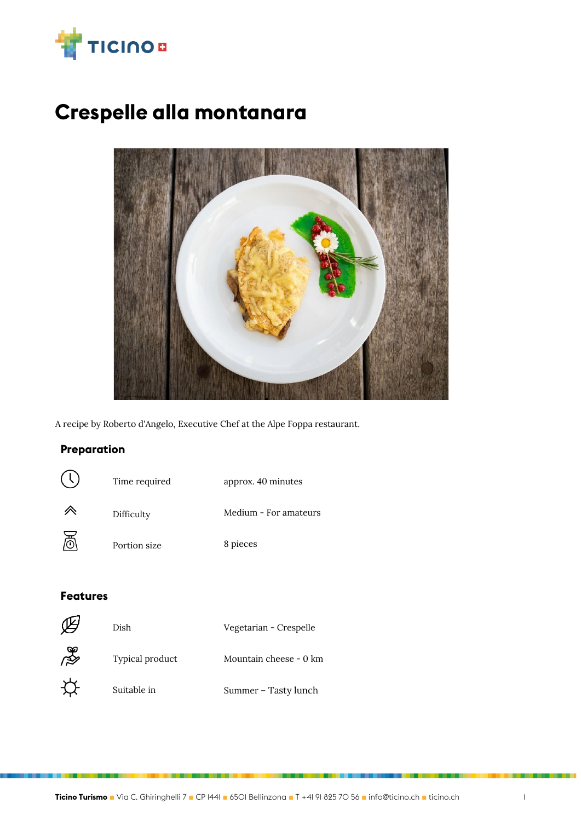

# **Crespelle alla montanara**



A recipe by Roberto d'Angelo, Executive Chef at the Alpe Foppa restaurant.

## **Preparation**

| (  | Time required | approx. 40 minutes    |
|----|---------------|-----------------------|
|    | Difficulty    | Medium - For amateurs |
| ੇਲ | Portion size  | 8 pieces              |

#### **Features**

|                | Dish            | Vegetarian - Crespelle |
|----------------|-----------------|------------------------|
| $\mathbb{R}^3$ | Typical product | Mountain cheese - 0 km |
|                | Suitable in     | Summer - Tasty lunch   |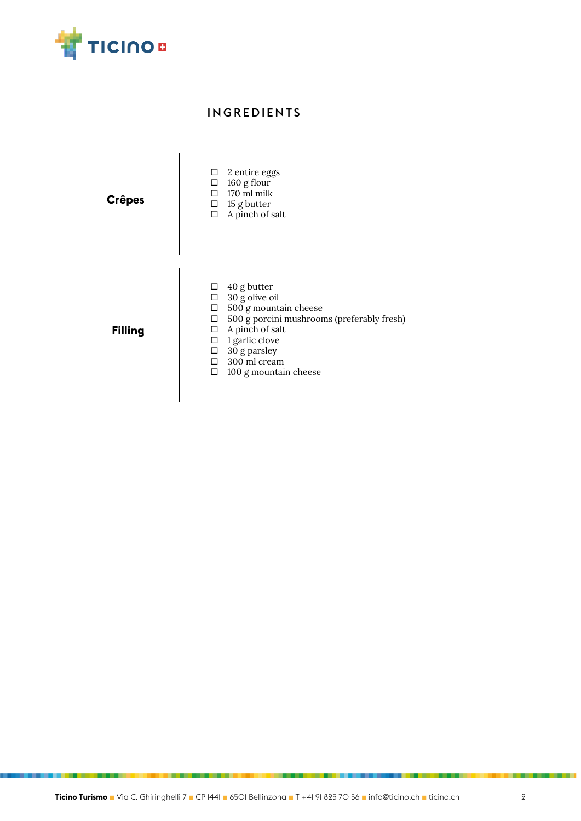

## **INGREDIENTS**

| <b>Crêpes</b>  | $\Box$ 2 entire eggs<br>$\Box$ 160 g flour<br>$\Box$ 170 ml milk<br>$\Box$ 15 g butter<br>$\Box$ A pinch of salt                                                                                                                                                |
|----------------|-----------------------------------------------------------------------------------------------------------------------------------------------------------------------------------------------------------------------------------------------------------------|
| <b>Filling</b> | $\Box$ 40 g butter<br>$\Box$ 30 g olive oil<br>$\Box$ 500 g mountain cheese<br>$\Box$ 500 g porcini mushrooms (preferably fresh)<br>$\Box$ A pinch of salt<br>$\Box$ 1 garlic clove<br>$\Box$ 30 g parsley<br>$\Box$ 300 ml cream<br>100 g mountain cheese<br>п |